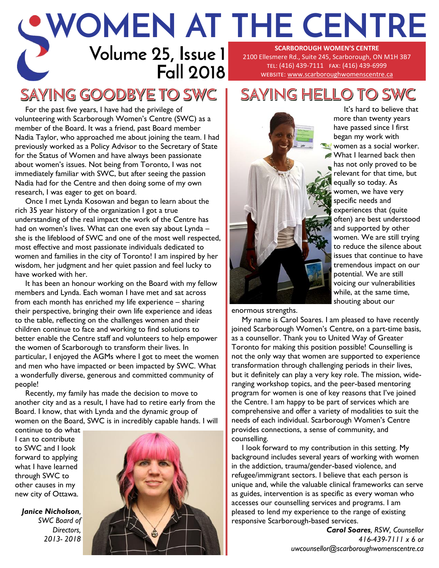#### **Volume 25, Issue 1 Fall 2018 WOMEN AT THE CENTRE SCARBOROUGH WOMEN'S CENTRE**  2100 Ellesmere Rd., Suite 245, Scarborough, ON M1H 3B7 tel: (416) 439-7111 fax: (416) 439-6999 website: [www.scarboroughwomenscentre.ca](http://www.scarboroughwomenscentre.ca)

## SAYING GOODBYE TO SWC

For the past five years, I have had the privilege of volunteering with Scarborough Women's Centre (SWC) as a member of the Board. It was a friend, past Board member Nadia Taylor, who approached me about joining the team. I had previously worked as a Policy Advisor to the Secretary of State for the Status of Women and have always been passionate about women's issues. Not being from Toronto, I was not immediately familiar with SWC, but after seeing the passion Nadia had for the Centre and then doing some of my own research, I was eager to get on board.

Once I met Lynda Kosowan and began to learn about the rich 35 year history of the organization I got a true understanding of the real impact the work of the Centre has had on women's lives. What can one even say about Lynda – she is the lifeblood of SWC and one of the most well respected, most effective and most passionate individuals dedicated to women and families in the city of Toronto! I am inspired by her wisdom, her judgment and her quiet passion and feel lucky to have worked with her.

It has been an honour working on the Board with my fellow members and Lynda. Each woman I have met and sat across from each month has enriched my life experience – sharing their perspective, bringing their own life experience and ideas to the table, reflecting on the challenges women and their children continue to face and working to find solutions to better enable the Centre staff and volunteers to help empower the women of Scarborough to transform their lives. In particular, I enjoyed the AGMs where I got to meet the women and men who have impacted or been impacted by SWC. What a wonderfully diverse, generous and committed community of people!

Recently, my family has made the decision to move to another city and as a result, I have had to retire early from the Board. I know, that with Lynda and the dynamic group of women on the Board, SWC is in incredibly capable hands. I will

continue to do what I can to contribute to SWC and I look forward to applying what I have learned through SWC to other causes in my new city of Ottawa.

*Janice Nicholson, SWC Board of Directors, 2013- 2018*



# SAYING HELLO TO SWC



It's hard to believe that more than twenty years have passed since I first began my work with women as a social worker. What I learned back then has not only proved to be relevant for that time, but equally so today. As women, we have very specific needs and experiences that (quite often) are best understood and supported by other women. We are still trying to reduce the silence about issues that continue to have tremendous impact on our potential. We are still voicing our vulnerabilities while, at the same time, shouting about our

enormous strengths.

My name is Carol Soares. I am pleased to have recently joined Scarborough Women's Centre, on a part-time basis, as a counsellor. Thank you to United Way of Greater Toronto for making this position possible! Counselling is not the only way that women are supported to experience transformation through challenging periods in their lives, but it definitely can play a very key role. The mission, wideranging workshop topics, and the peer-based mentoring program for women is one of key reasons that I've joined the Centre. I am happy to be part of services which are comprehensive and offer a variety of modalities to suit the needs of each individual. Scarborough Women's Centre provides connections, a sense of community, and counselling.

I look forward to my contribution in this setting. My background includes several years of working with women in the addiction, trauma/gender-based violence, and refugee/immigrant sectors. I believe that each person is unique and, while the valuable clinical frameworks can serve as guides, intervention is as specific as every woman who accesses our counselling services and programs. I am pleased to lend my experience to the range of existing responsive Scarborough-based services.

*Carol Soares, RSW, Counsellor 416-439-7111 x 6 or uwcounsellor@scarboroughwomenscentre.ca*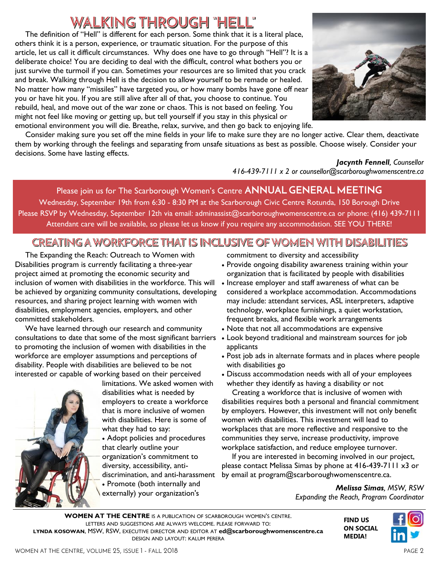## WALKING THROUGH "HELL"

The definition of "Hell" is different for each person. Some think that it is a literal place, others think it is a person, experience, or traumatic situation. For the purpose of this article, let us call it difficult circumstances. Why does one have to go through "Hell"? It is a deliberate choice! You are deciding to deal with the difficult, control what bothers you or just survive the turmoil if you can. Sometimes your resources are so limited that you crack and break. Walking through Hell is the decision to allow yourself to be remade or healed. No matter how many "missiles" have targeted you, or how many bombs have gone off near you or have hit you. If you are still alive after all of that, you choose to continue. You rebuild, heal, and move out of the war zone or chaos. This is not based on feeling. You might not feel like moving or getting up, but tell yourself if you stay in this physical or emotional environment you will die. Breathe, relax, survive, and then go back to enjoying life.



Consider making sure you set off the mine fields in your life to make sure they are no longer active. Clear them, deactivate them by working through the feelings and separating from unsafe situations as best as possible. Choose wisely. Consider your decisions. Some have lasting effects.

*Jacynth Fennell, Counsellor 416-439-7111 x 2 or counsellor@scarboroughwomenscentre.ca*

Please join us for The Scarborough Women's Centre **ANNUAL GENERAL MEETING** Wednesday, September 19th from 6:30 - 8:30 PM at the Scarborough Civic Centre Rotunda, 150 Borough Drive Please RSVP by Wednesday, September 12th via email: adminassist@scarboroughwomenscentre.ca or phone: (416) 439-7111 Attendant care will be available, so please let us know if you require any accommodation. SEE YOU THERE!

### CREATING A WORKFORCE THAT IS INCLUSIVE OF WOMEN WITH DISABILITIES

The Expanding the Reach: Outreach to Women with Disabilities program is currently facilitating a three-year project aimed at promoting the economic security and inclusion of women with disabilities in the workforce. This will be achieved by organizing community consultations, developing resources, and sharing project learning with women with disabilities, employment agencies, employers, and other committed stakeholders.

We have learned through our research and community consultations to date that some of the most significant barriers to promoting the inclusion of women with disabilities in the workforce are employer assumptions and perceptions of disability. People with disabilities are believed to be not interested or capable of working based on their perceived



limitations. We asked women with disabilities what is needed by employers to create a workforce that is more inclusive of women with disabilities. Here is some of what they had to say:

 Adopt policies and procedures that clearly outline your organization's commitment to diversity, accessibility, antidiscrimination, and anti-harassment • Promote (both internally and externally) your organization's

commitment to diversity and accessibility

- Provide ongoing disability awareness training within your organization that is facilitated by people with disabilities
- Increase employer and staff awareness of what can be considered a workplace accommodation. Accommodations may include: attendant services, ASL interpreters, adaptive technology, workplace furnishings, a quiet workstation, frequent breaks, and flexible work arrangements
- Note that not all accommodations are expensive
- Look beyond traditional and mainstream sources for job applicants
- Post job ads in alternate formats and in places where people with disabilities go
- Discuss accommodation needs with all of your employees whether they identify as having a disability or not

Creating a workforce that is inclusive of women with disabilities requires both a personal and financial commitment by employers. However, this investment will not only benefit women with disabilities. This investment will lead to workplaces that are more reflective and responsive to the communities they serve, increase productivity, improve workplace satisfaction, and reduce employee turnover.

If you are interested in becoming involved in our project, please contact Melissa Simas by phone at 416-439-7111 x3 or by email at program@scarboroughwomenscentre.ca.

> *Melissa Simas, MSW, RSW Expanding the Reach, Program Coordinator*

> > **FIND US ON SOCIAL MEDIA!**

**WOMEN AT THE CENTRE** IS A PUBLICATION OF SCARBOROUGH WOMEN'S CENTRE. LETTERS AND SUGGESTIONS ARE ALWAYS WELCOME. PLEASE FORWARD TO: **LYNDA KOSOWAN**, MSW, RSW, EXECUTIVE DIRECTOR AND EDITOR AT **[ed@scarboroughwomenscentre.ca](mailto:ed@scarboroughwomenscentre.ca)**  DESIGN AND LAYOUT: KALUM PERERA

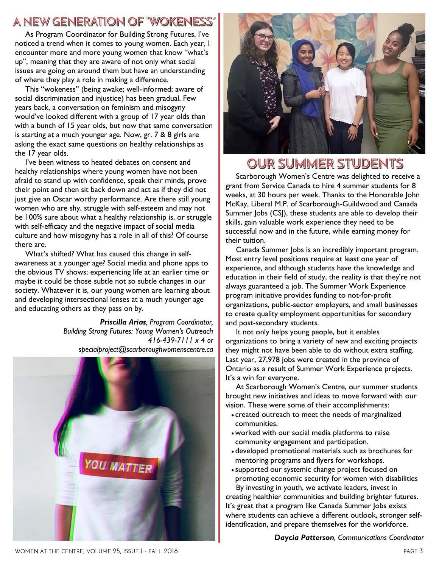### A NEW GENERATION OF "WOKENESS"

As Program Coordinator for Building Strong Futures, I've noticed a trend when it comes to young women. Each year, I encounter more and more young women that know "what's up", meaning that they are aware of not only what social issues are going on around them but have an understanding of where they play a role in making a difference.

This "wokeness" (being awake; well-informed; aware of social discrimination and injustice) has been gradual. Few years back, a conversation on feminism and misogyny would've looked different with a group of 17 year olds than with a bunch of 15 year olds, but now that same conversation is starting at a much younger age. Now, gr. 7 & 8 girls are asking the exact same questions on healthy relationships as the 17 year olds.

I've been witness to heated debates on consent and healthy relationships where young women have not been afraid to stand up with confidence, speak their minds, prove their point and then sit back down and act as if they did not just give an Oscar worthy performance. Are there still young women who are shy, struggle with self-esteem and may not be 100% sure about what a healthy relationship is, or struggle with self-efficacy and the negative impact of social media culture and how misogyny has a role in all of this? Of course there are.

What's shifted? What has caused this change in selfawareness at a younger age? Social media and phone apps to the obvious TV shows; experiencing life at an earlier time or maybe it could be those subtle not so subtle changes in our society. Whatever it is, our young women are learning about and developing intersectional lenses at a much younger age and educating others as they pass on by.

> *Priscilla Arias, Program Coordinator, Building Strong Futures: Young Women's Outreach 416-439-7111 x 4 or specialproject@scarboroughwomenscentre.ca*





### OUR SUMMER STUDENTS

Scarborough Women's Centre was delighted to receive a grant from Service Canada to hire 4 summer students for 8 weeks, at 30 hours per week. Thanks to the Honorable John McKay, Liberal M.P. of Scarborough-Guildwood and Canada Summer Jobs (CSJ), these students are able to develop their skills, gain valuable work experience they need to be successful now and in the future, while earning money for their tuition.

Canada Summer Jobs is an incredibly important program. Most entry level positions require at least one year of experience, and although students have the knowledge and education in their field of study, the reality is that they're not always guaranteed a job. The Summer Work Experience program initiative provides funding to not-for-profit organizations, public-sector employers, and small businesses to create quality employment opportunities for secondary and post-secondary students.

It not only helps young people, but it enables organizations to bring a variety of new and exciting projects they might not have been able to do without extra staffing. Last year, 27,978 jobs were created in the province of Ontario as a result of Summer Work Experience projects. It's a win for everyone.

At Scarborough Women's Centre, our summer students brought new initiatives and ideas to move forward with our vision. These were some of their accomplishments:

- created outreach to meet the needs of marginalized communities.
- worked with our social media platforms to raise community engagement and participation.
- developed promotional materials such as brochures for mentoring programs and flyers for workshops.
- supported our systemic change project focused on promoting economic security for women with disabilities

By investing in youth, we activate leaders, invest in creating healthier communities and building brighter futures. It's great that a program like Canada Summer Jobs exists where students can achieve a different outlook, stronger selfidentification, and prepare themselves for the workforce.

*Daycia Patterson, Communications Coordinator*

WOMEN AT THE CENTRE, VOLUME 25, ISSUE 1 - FALL 2018 PAGE 3